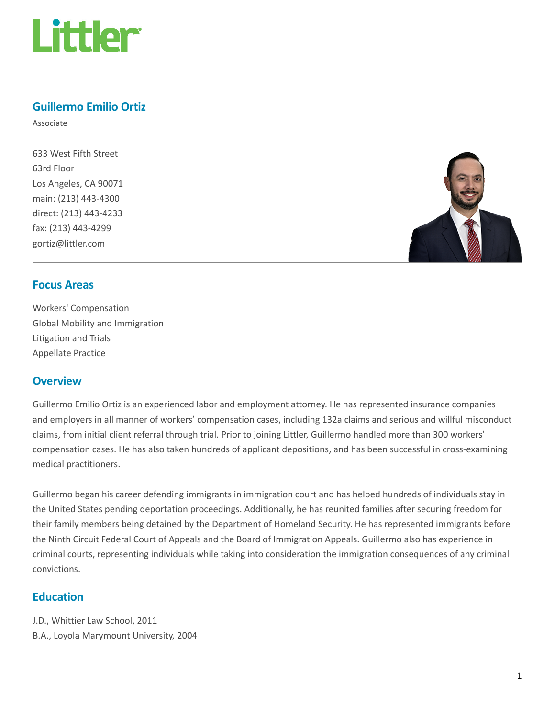

### Guillermo Emilio Ortiz

Associate

633 West Fifth Street 63rd Floor Los Angeles, CA 90071 main: (213) 443-4300 direct: (213) 443-4233 fax: (213) 443-4299 gortiz@littler.com



#### Focus Areas

Workers' Compensation Global Mobility and Immigration Litigation and Trials Appellate Practice

#### **Overview**

Guillermo Emilio Ortiz is an experienced labor and employment attorney. He has represented insurance companies and employers in all manner of workers' compensation cases, including 132a claims and serious and willful misconduct claims, from initial client referral through trial. Prior to joining Littler, Guillermo handled more than 300 workers' compensation cases. He has also taken hundreds of applicant depositions, and has been successful in cross-examining medical practitioners.

Guillermo began his career defending immigrants in immigration court and has helped hundreds of individuals stay in the United States pending deportation proceedings. Additionally, he has reunited families after securing freedom for their family members being detained by the Department of Homeland Security. He has represented immigrants before the Ninth Circuit Federal Court of Appeals and the Board of Immigration Appeals. Guillermo also has experience in criminal courts, representing individuals while taking into consideration the immigration consequences of any criminal convictions.

### Education

J.D., Whittier Law School, 2011 B.A., Loyola Marymount University, 2004